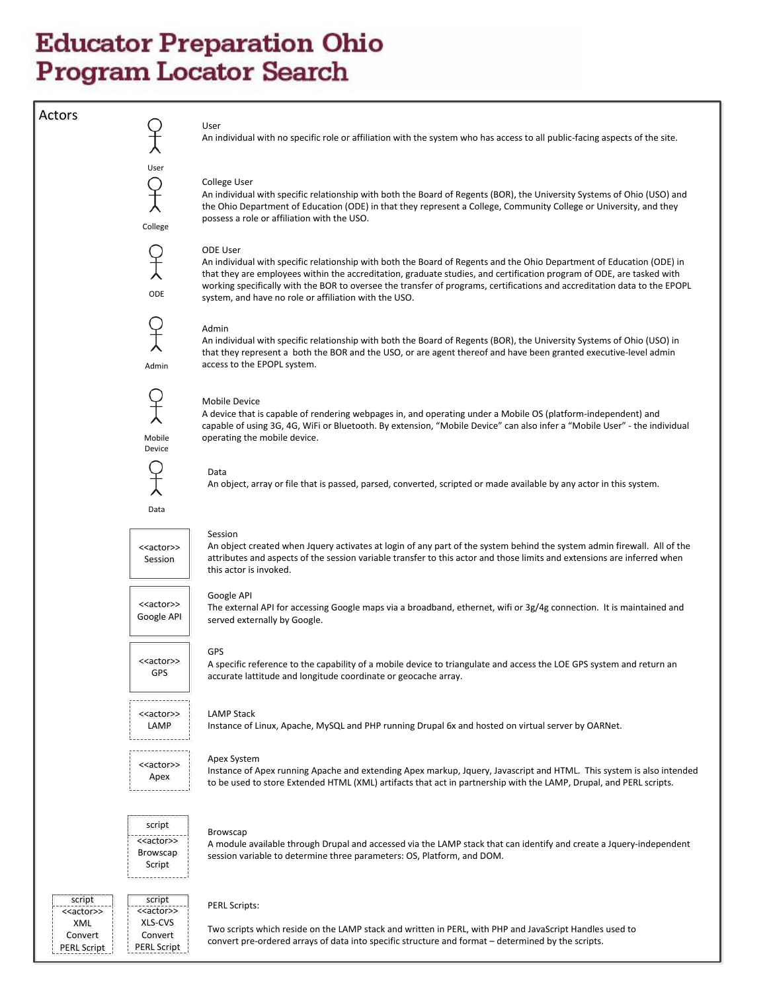User

User

College

ODE

Mobile Device

Admin

Actors<br>
An individual with no specific role or affiliation with the system who has access to all public-facing aspects of the site.

#### College User

An individual with specific relationship with both the Board of Regents (BOR), the University Systems of Ohio (USO) and the Ohio Department of Education (ODE) in that they represent a College, Community College or University, and they possess a role or affiliation with the USO.

#### ODE User

An individual with specific relationship with both the Board of Regents and the Ohio Department of Education (ODE) in that they are employees within the accreditation, graduate studies, and certification program of ODE, are tasked with working specifically with the BOR to oversee the transfer of programs, certifications and accreditation data to the EPOPL system, and have no role or affiliation with the USO.

#### Admin

An individual with specific relationship with both the Board of Regents (BOR), the University Systems of Ohio (USO) in that they represent a both the BOR and the USO, or are agent thereof and have been granted executive-level admin access to the EPOPL system.

#### Mobile Device

A device that is capable of rendering webpages in, and operating under a Mobile OS (platform-independent) and capable of using 3G, 4G, WiFi or Bluetooth. By extension, "Mobile Device" can also infer a "Mobile User" - the individual operating the mobile device.

Data Data An object, array or file that is passed, parsed, converted, scripted or made available by any actor in this system.<br>Data

#### Session

An object created when Jquery activates at login of any part of the system behind the system admin firewall. All of the attributes and aspects of the session variable transfer to this actor and those limits and extensions are inferred when this actor is invoked.

#### <<actor>> Google API

<<actor>><br>Session

<<actor>><br>GPS

<<actor>><br>LAMP

<<actor>>

#### Google API

The external API for accessing Google maps via a broadband, ethernet, wifi or 3g/4g connection. It is maintained and served externally by Google.

#### GPS

A specific reference to the capability of a mobile device to triangulate and access the LOE GPS system and return an accurate lattitude and longitude coordinate or geocache array.

#### LAMP Stack

Instance of Linux, Apache, MySQL and PHP running Drupal 6x and hosted on virtual server by OARNet.

Browscap

Apex System<br>
Instance of Apex running Apache and extending Apex markup, Jquery, Javascript and HTML. This system is also intended<br>
Apex to be used to store Extended HTML (XML) artifacts that act in partnership with the LAMP, Drupal, and PERL scripts.



<<actor> XLS-CVS Convert Convert <<actor>><br>XLS-CVS<br>Convert<br>PERL Script

<<actor>> XML Convert Convert <<actor>><br>XML<br>Convert<br>PERL Script

script

script

A module available through Drupal and accessed via the LAMP stack that can identify and create a Jquery-independent session variable to determine three parameters: OS, Platform, and DOM.

#### PERL Scripts:

Two scripts which reside on the LAMP stack and written in PERL, with PHP and JavaScript Handles used to convert pre-ordered arrays of data into specific structure and format – determined by the scripts.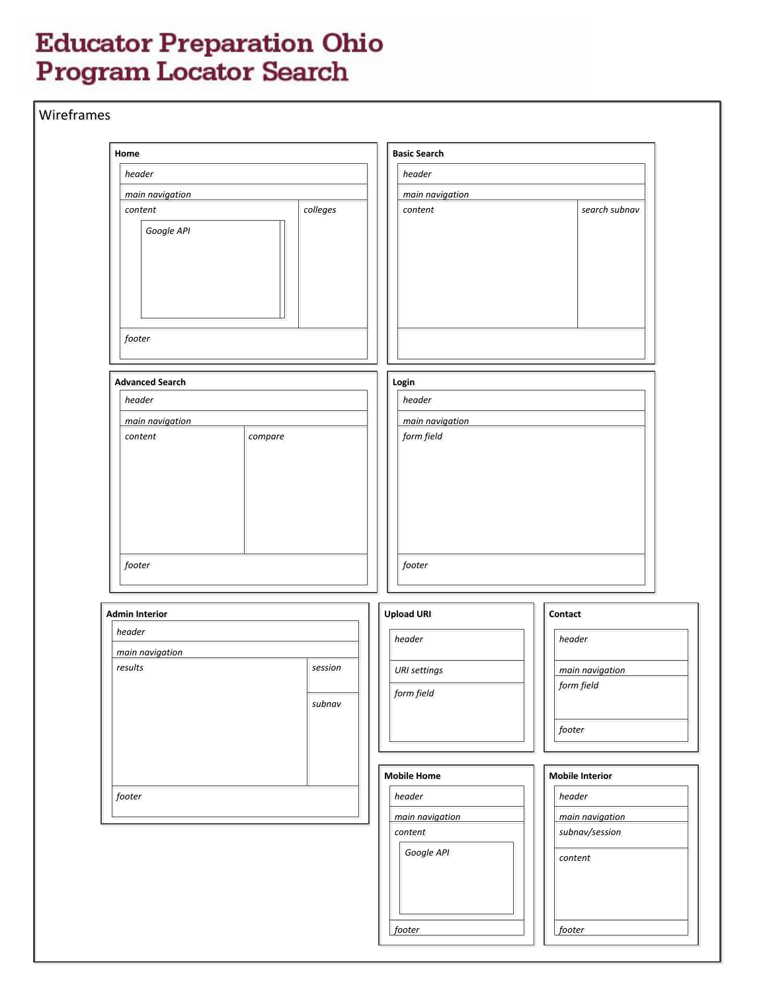|                                                 | <b>Basic Search</b>                                                                 |  |
|-------------------------------------------------|-------------------------------------------------------------------------------------|--|
| header                                          | header<br>main navigation                                                           |  |
| main navigation                                 |                                                                                     |  |
| colleges<br>content<br>Google API               | search subnav<br>content                                                            |  |
| footer                                          |                                                                                     |  |
| <b>Advanced Search</b>                          | Login                                                                               |  |
| header                                          | header                                                                              |  |
| main navigation<br>compare<br>content           | main navigation<br>form field                                                       |  |
| footer                                          | footer                                                                              |  |
| <b>Admin Interior</b>                           | <b>Upload URI</b><br>Contact                                                        |  |
| header                                          | header<br>header                                                                    |  |
| main navigation<br>results<br>session<br>subnav | main navigation<br><b>URI</b> settings<br>form field<br>form field<br>footer        |  |
|                                                 | <b>Mobile Home</b><br><b>Mobile Interior</b>                                        |  |
|                                                 | header<br>header<br>main navigation<br>main navigation<br>subnav/session<br>content |  |
| footer                                          | Google API<br>content                                                               |  |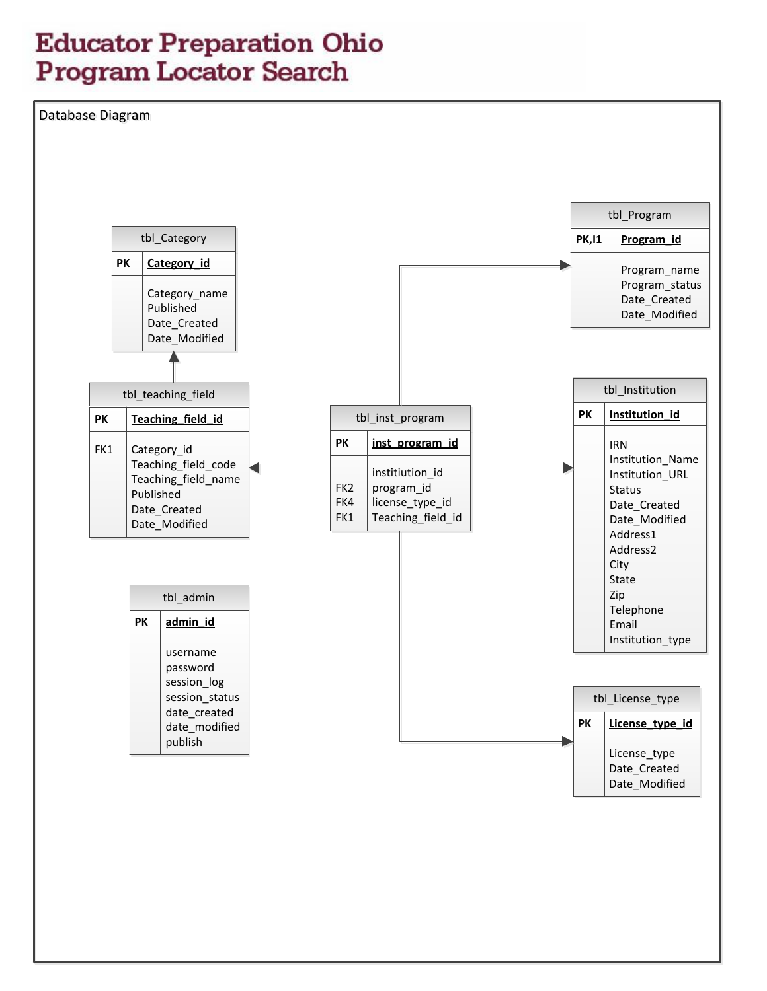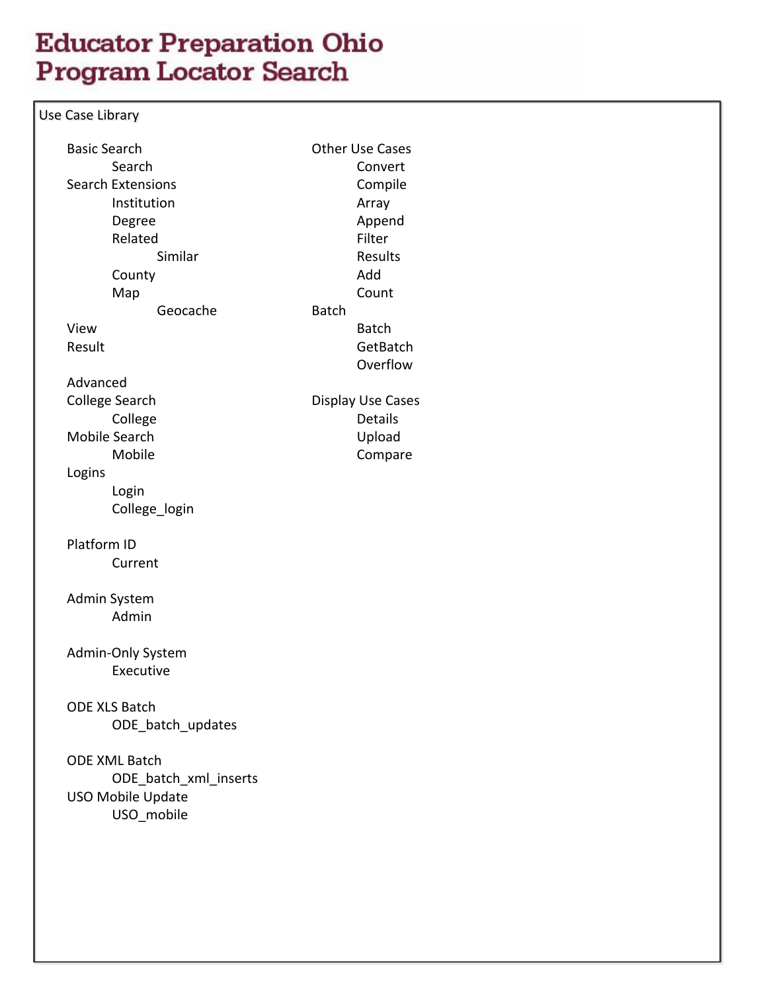Use Case Library

| <b>Basic Search</b>      |              | <b>Other Use Cases</b> |
|--------------------------|--------------|------------------------|
| Search                   |              | Convert                |
| <b>Search Extensions</b> |              | Compile                |
| Institution              |              | Array                  |
| Degree                   |              | Append                 |
| Related                  |              | Filter                 |
| Similar                  |              | <b>Results</b>         |
| County                   |              | Add                    |
| Map                      |              | Count                  |
| Geocache                 | <b>Batch</b> |                        |
| View                     |              | <b>Batch</b>           |
| Result                   |              | GetBatch               |
|                          |              | Overflow               |
| Advanced                 |              |                        |
| <b>College Search</b>    |              | Display Use Cases      |
| College                  |              | <b>Details</b>         |
| <b>Mobile Search</b>     |              | Upload                 |
| Mobile                   |              | Compare                |
| Logins                   |              |                        |
| Login                    |              |                        |
| College_login            |              |                        |
|                          |              |                        |
| Platform ID              |              |                        |
| Current                  |              |                        |
|                          |              |                        |
| Admin System             |              |                        |
| Admin                    |              |                        |
|                          |              |                        |
| Admin-Only System        |              |                        |
| Executive                |              |                        |
|                          |              |                        |
|                          |              |                        |
| <b>ODE XLS Batch</b>     |              |                        |
| ODE batch updates        |              |                        |
|                          |              |                        |
| <b>ODE XML Batch</b>     |              |                        |
| ODE batch xml inserts    |              |                        |
| USO Mobile Update        |              |                        |
| USO mobile               |              |                        |
|                          |              |                        |
|                          |              |                        |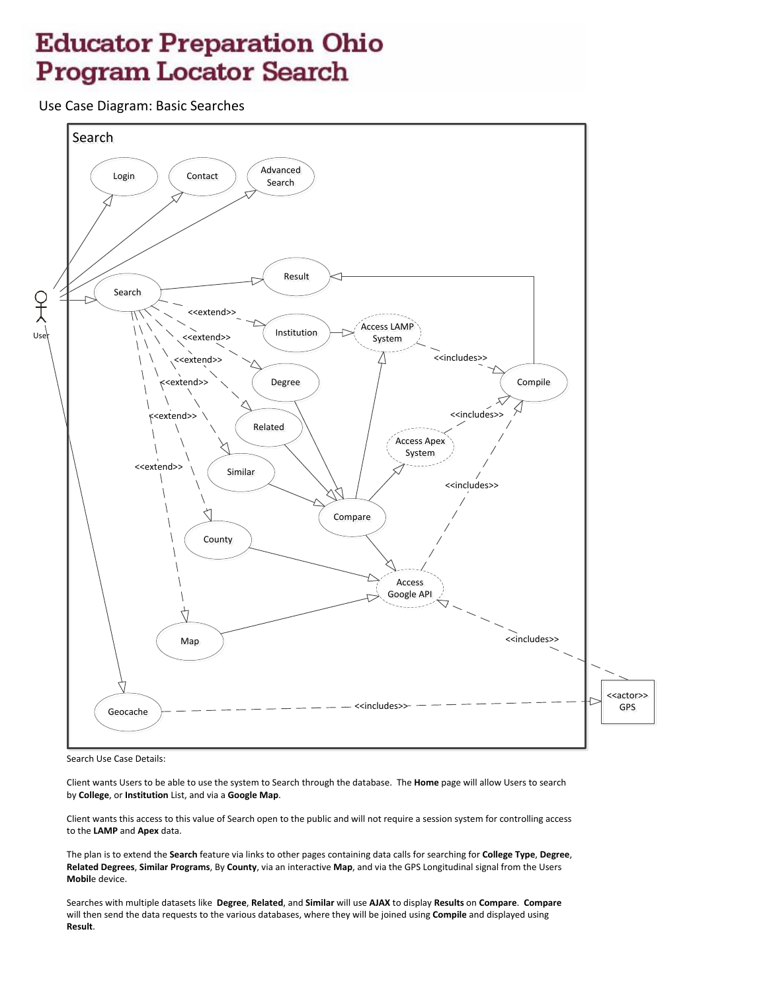Use Case Diagram: Basic Searches



Search Use Case Details:

Client wants Users to be able to use the system to Search through the database. The **Home** page will allow Users to search by **College**, or **Institution** List, and via a **Google Map**.

Client wants this access to this value of Search open to the public and will not require a session system for controlling access to the **LAMP** and **Apex** data.

The plan is to extend the **Search** feature via links to other pages containing data calls for searching for **College Type**, **Degree**, **Related Degrees**, **Similar Programs**, By **County**, via an interactive **Map**, and via the GPS Longitudinal signal from the Users **Mobil**e device.

Searches with multiple datasets like **Degree**, **Related**, and **Similar** will use **AJAX** to display **Results** on **Compare**. **Compare** will then send the data requests to the various databases, where they will be joined using **Compile** and displayed using **Result**.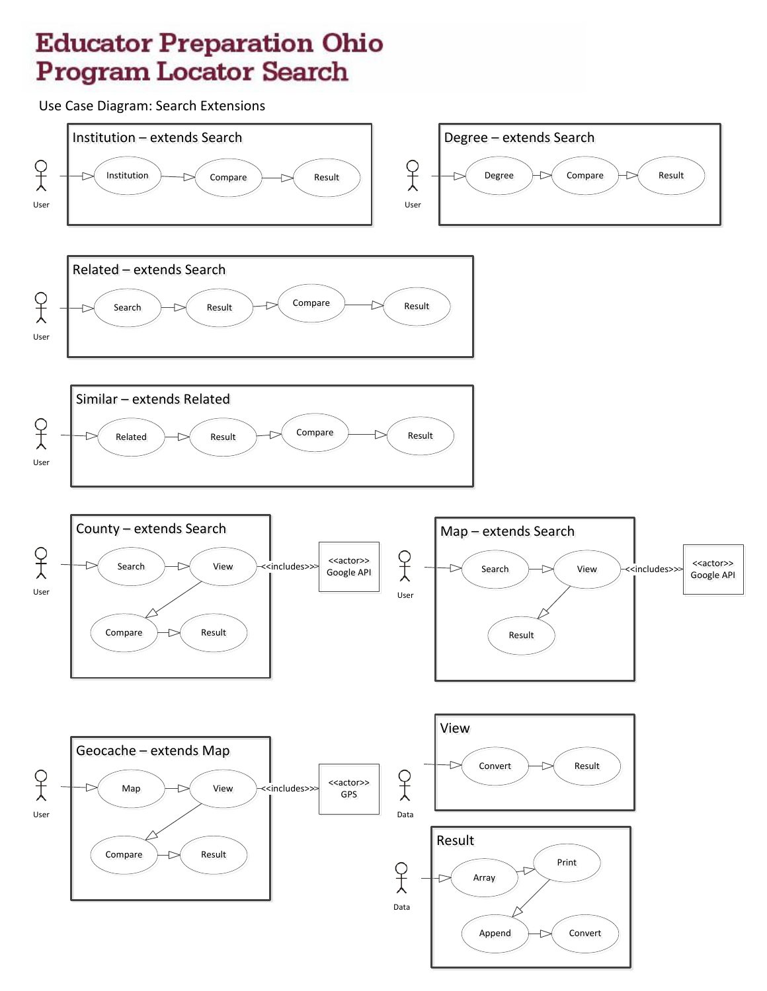Use Case Diagram: Search Extensions

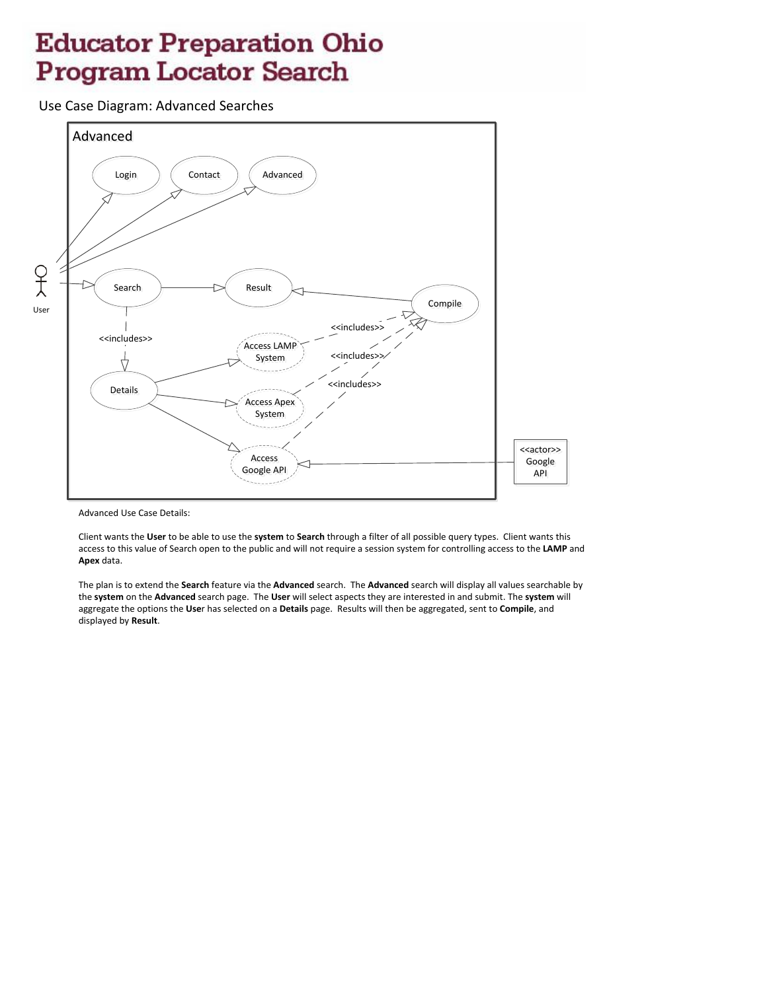Use Case Diagram: Advanced Searches



Advanced Use Case Details:

Client wants the **User** to be able to use the **system** to **Search** through a filter of all possible query types. Client wants this access to this value of Search open to the public and will not require a session system for controlling access to the **LAMP** and **Apex** data.

The plan is to extend the **Search** feature via the **Advanced** search. The **Advanced** search will display all values searchable by the **system** on the **Advanced** search page. The **User** will select aspects they are interested in and submit. The **system** will aggregate the options the **Use**r has selected on a **Details** page. Results will then be aggregated, sent to **Compile**, and displayed by **Result**.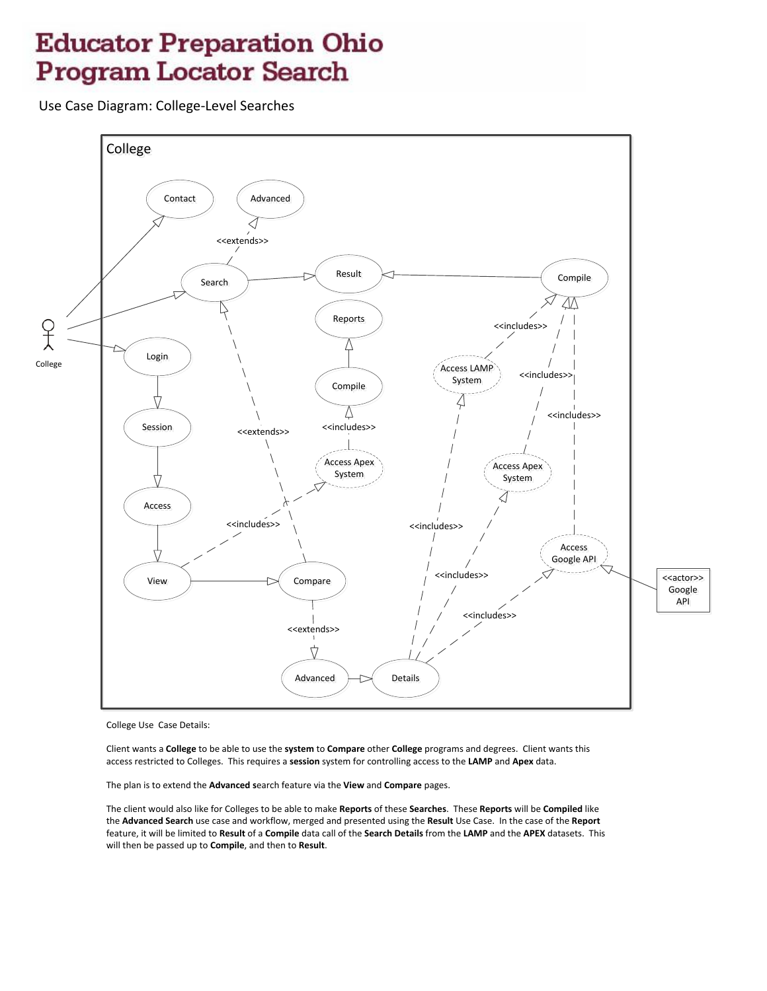Use Case Diagram: College-Level Searches



College Use Case Details:

Client wants a College to be able to use the system to Compare other College programs and degrees. Client wants this access restricted to Colleges. This requires a session system for controlling access to the LAMP and Apex data.

The plan is to extend the Advanced search feature via the View and Compare pages.

The client would also like for Colleges to be able to make Reports of these Searches. These Reports will be Compiled like the Advanced Search use case and workflow, merged and presented using the Result Use Case. In the case of the Report feature, it will be limited to Result of a Compile data call of the Search Details from the LAMP and the APEX datasets. This will then be passed up to Compile, and then to Result.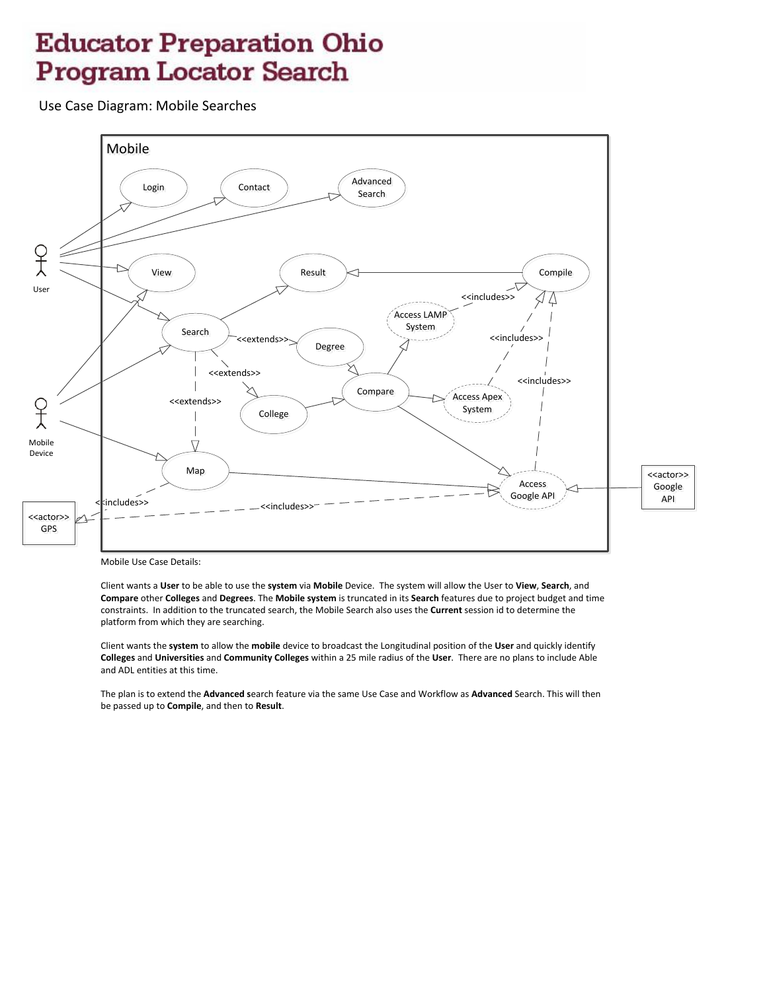Use Case Diagram: Mobile Searches



Mobile Use Case Details:

Client wants a User to be able to use the system via Mobile Device. The system will allow the User to View, Search, and Compare other Colleges and Degrees. The Mobile system is truncated in its Search features due to project budget and time constraints. In addition to the truncated search, the Mobile Search also uses the Current session id to determine the platform from which they are searching.

Client wants the system to allow the mobile device to broadcast the Longitudinal position of the User and quickly identify Colleges and Universities and Community Colleges within a 25 mile radius of the User. There are no plans to include Able and ADL entities at this time.

The plan is to extend the Advanced search feature via the same Use Case and Workflow as Advanced Search. This will then be passed up to Compile, and then to Result.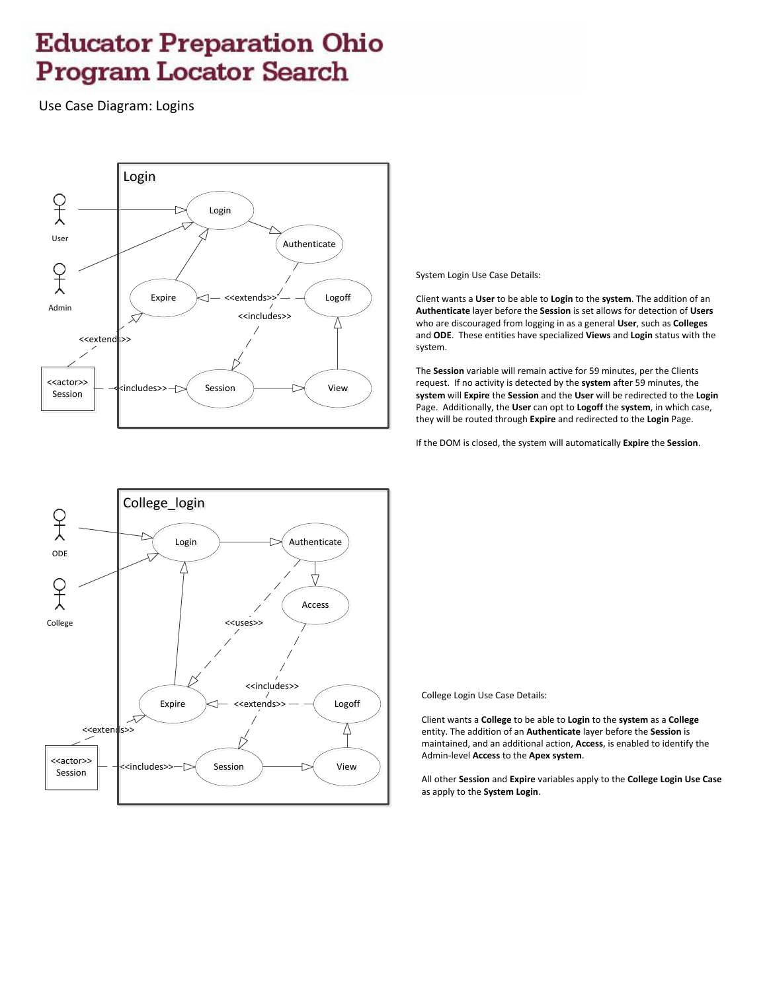Use Case Diagram: Logins



System Login Use Case Details:

Client wants a **User** to be able to **Login** to the **system**. The addition of an **Authenticate** layer before the **Session** is set allows for detection of **Users** who are discouraged from logging in as a general **User**, such as **Colleges** and **ODE**. These entities have specialized **Views** and **Login** status with the system.

The **Session** variable will remain active for 59 minutes, per the Clients request. If no activity is detected by the **system** after 59 minutes, the **system** will **Expire** the **Session** and the **User** will be redirected to the **Login** Page. Additionally, the **User** can opt to **Logoff** the **system**, in which case, they will be routed through **Expire** and redirected to the **Login** Page.

If the DOM is closed, the system will automatically **Expire** the **Session**.



College Login Use Case Details:

Client wants a **College** to be able to **Login** to the **system** as a **College** entity. The addition of an **Authenticate** layer before the **Session** is maintained, and an additional action, **Access**, is enabled to identify the Admin-level **Access** to the **Apex system**.

All other **Session** and **Expire** variables apply to the **College Login Use Case** as apply to the **System Login**.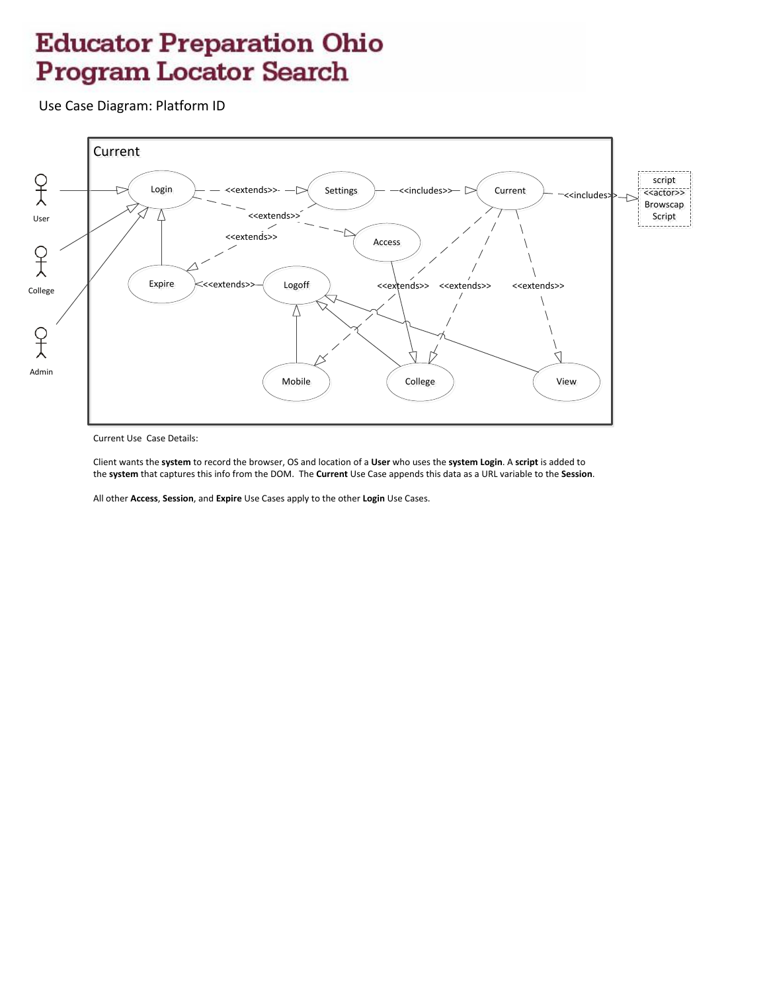Use Case Diagram: Platform ID



Current Use Case Details:

Client wants the system to record the browser, OS and location of a User who uses the system Login. A script is added to the system that captures this info from the DOM. The Current Use Case appends this data as a URL variable to the Session.

All other Access, Session, and Expire Use Cases apply to the other Login Use Cases.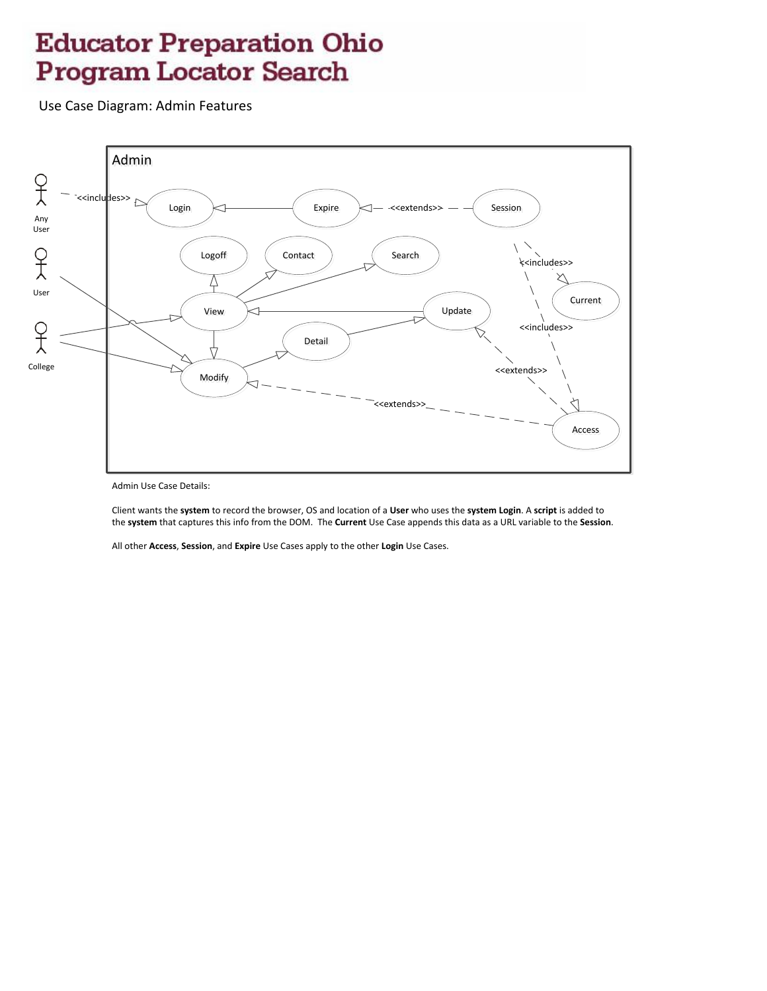Use Case Diagram: Admin Features



Admin Use Case Details:

Client wants the system to record the browser, OS and location of a User who uses the system Login. A script is added to the system that captures this info from the DOM. The Current Use Case appends this data as a URL variable to the Session.

All other Access, Session, and Expire Use Cases apply to the other Login Use Cases.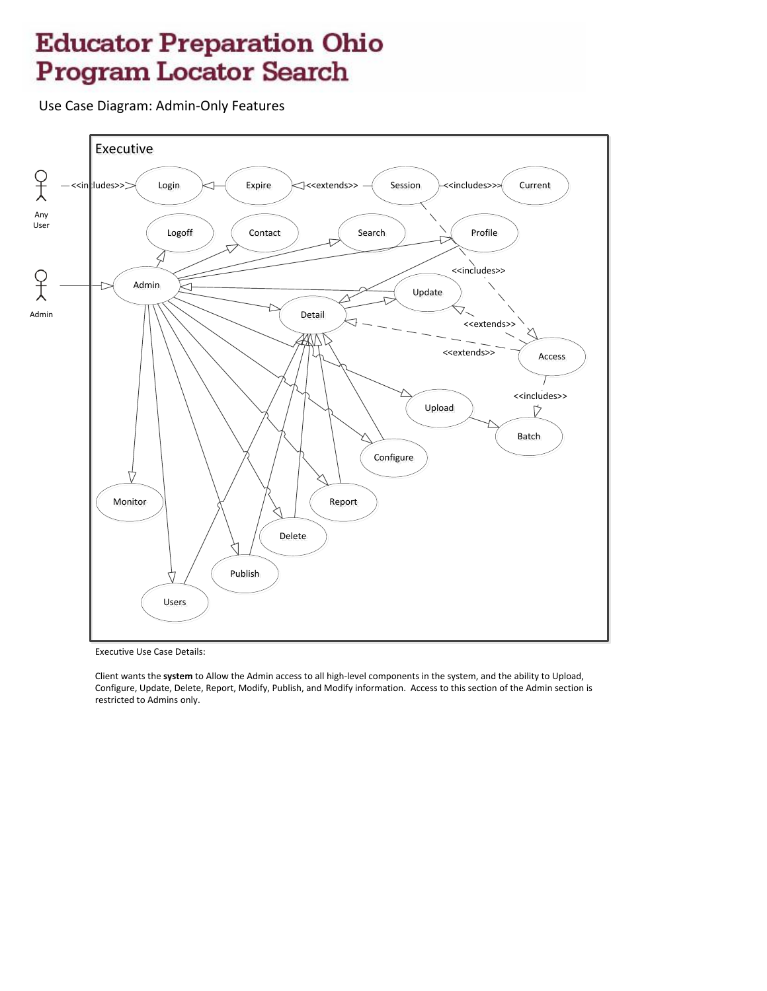Use Case Diagram: Admin-Only Features



**Executive Use Case Details:** 

Client wants the system to Allow the Admin access to all high-level components in the system, and the ability to Upload, Configure, Update, Delete, Report, Modify, Publish, and Modify information. Access to this section of the Admin section is restricted to Admins only.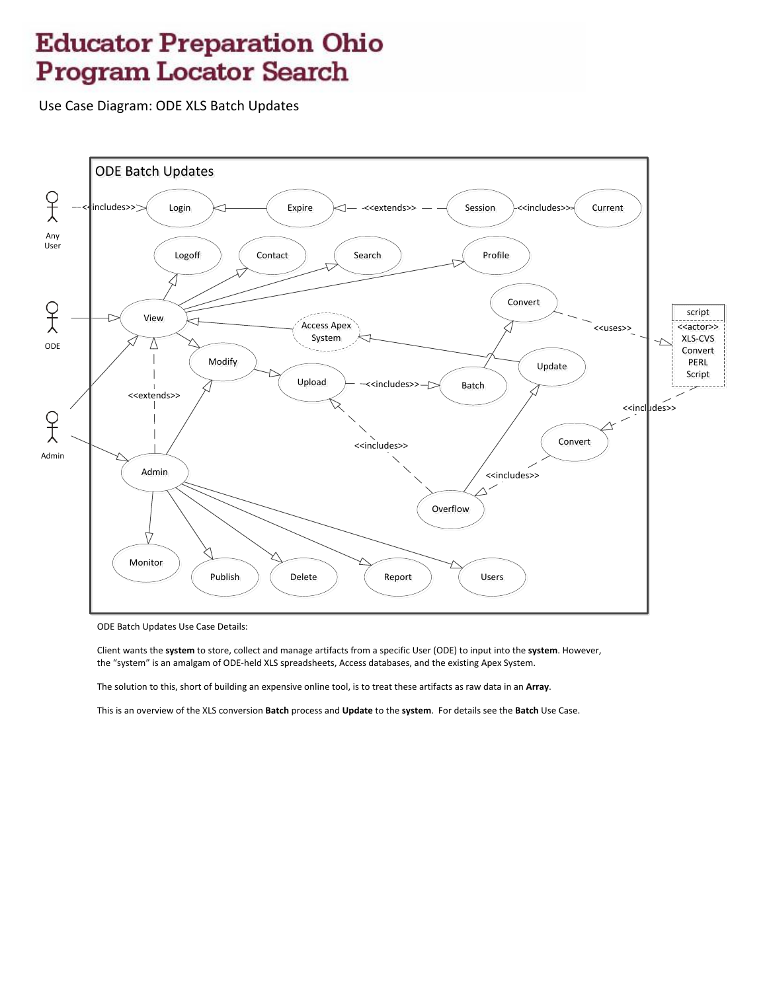Use Case Diagram: ODE XLS Batch Updates



ODE Batch Updates Use Case Details:

Client wants the system to store, collect and manage artifacts from a specific User (ODE) to input into the system. However, the "system" is an amalgam of ODE-held XLS spreadsheets, Access databases, and the existing Apex System.

The solution to this, short of building an expensive online tool, is to treat these artifacts as raw data in an Array.

This is an overview of the XLS conversion Batch process and Update to the system. For details see the Batch Use Case.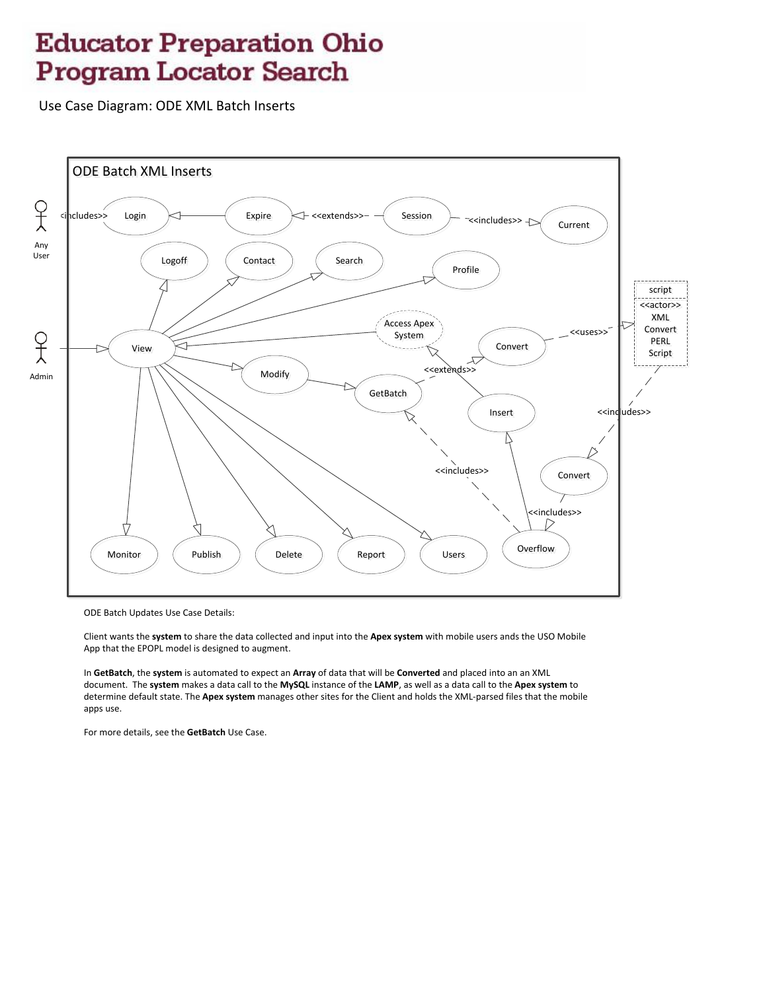Use Case Diagram: ODE XML Batch Inserts



ODE Batch Updates Use Case Details:

Client wants the system to share the data collected and input into the Apex system with mobile users ands the USO Mobile App that the EPOPL model is designed to augment.

In GetBatch, the system is automated to expect an Array of data that will be Converted and placed into an an XML document. The system makes a data call to the MySQL instance of the LAMP, as well as a data call to the Apex system to determine default state. The Apex system manages other sites for the Client and holds the XML-parsed files that the mobile apps use.

For more details, see the GetBatch Use Case.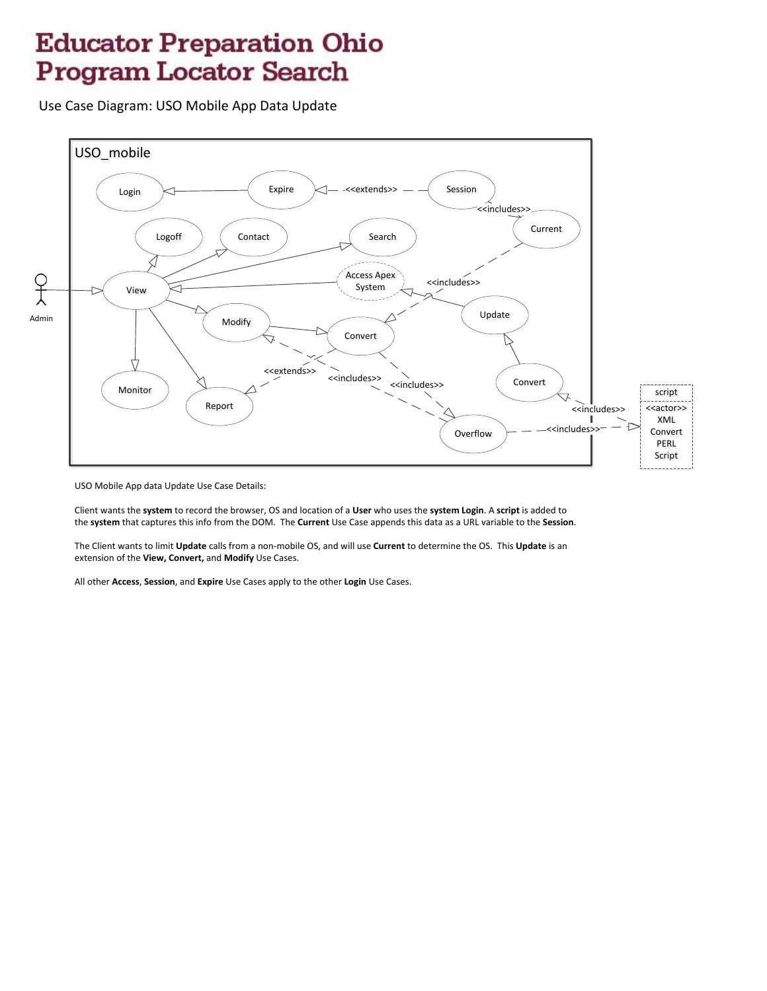Use Case Diagram: USO Mobile App Data Update



USO Mobile App data Update Use Case Details:

Client wants the system to record the browser, OS and location of a User who uses the system Login. A script is added to the system that captures this info from the DOM. The Current Use Case appends this data as a URL variable to the Session.

The Client wants to limit Update calls from a non-mobile OS, and will use Current to determine the OS. This Update is an extension of the View, Convert, and Modify Use Cases.

All other Access, Session, and Expire Use Cases apply to the other Login Use Cases.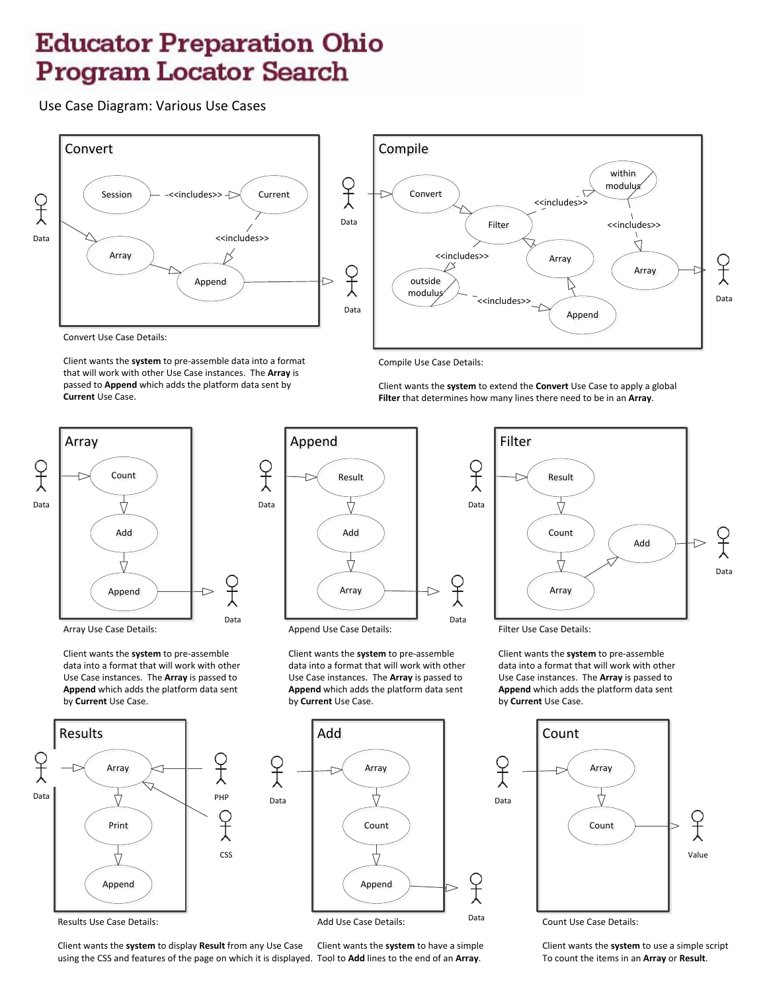

Convert Use Case Details:

Client wants the **system** to pre-assemble data into a format that will work with other Use Case instances. The **Array** is passed to **Append** which adds the platform data sent by **Current** Use Case.



Array Use Case Details:

Client wants the **system** to pre-assemble data into a format that will work with other Use Case instances. The **Array** is passed to **Append** which adds the platform data sent by **Current** Use Case.



Results Use Case Details:

Client wants the **system** to display **Result** from any Use Case using the CSS and features of the page on which it is displayed. Tool to **Add** lines to the end of an **Array**. Client wants the **system** to have a simple



Compile Use Case Details:

Client wants the **system** to extend the **Convert** Use Case to apply a global **Filter** that determines how many lines there need to be in an **Array**.



Append Use Case Details:

Client wants the **system** to pre-assemble data into a format that will work with other Use Case instances. The **Array** is passed to **Append** which adds the platform data sent by **Current** Use Case.



Filter  $\begin{array}{c|c}\n\hline\n\downarrow & \uparrow\n\end{array}$  Data Count Add Ĥ Data Array

Filter Use Case Details:

Client wants the **system** to pre-assemble data into a format that will work with other Use Case instances. The **Array** is passed to **Append** which adds the platform data sent by **Current** Use Case.



Client wants the **system** to use a simple script To count the items in an **Array** or **Result**.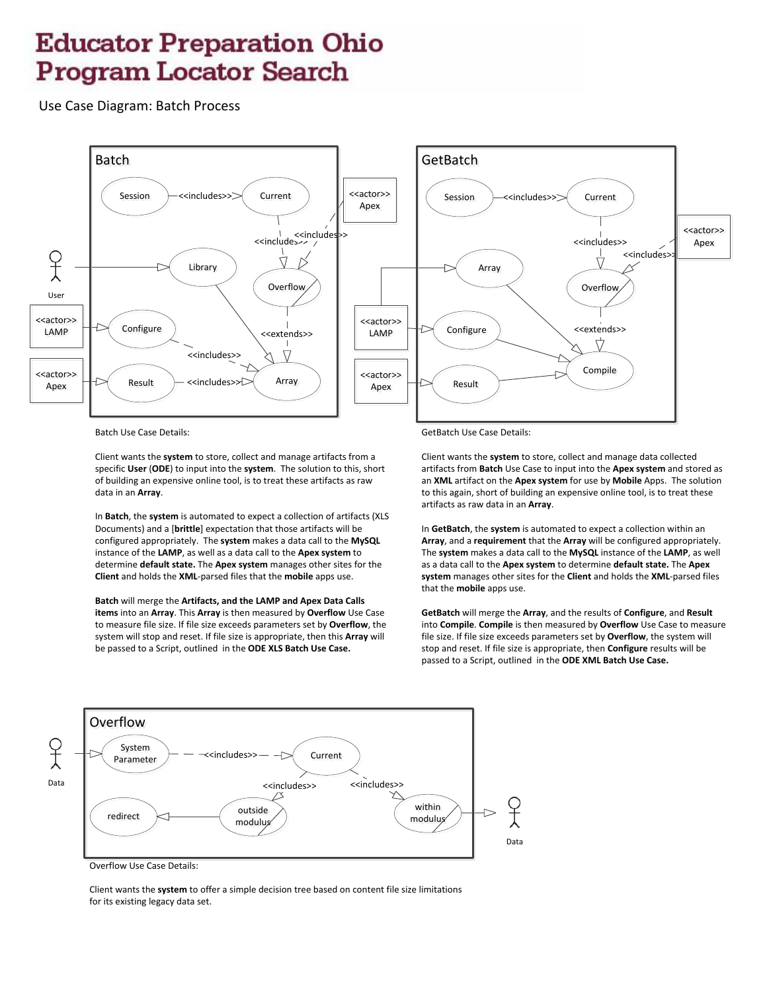Use Case Diagram: Batch Process



Batch Use Case Details:

Client wants the **system** to store, collect and manage artifacts from a specific **User** (**ODE**) to input into the **system**. The solution to this, short of building an expensive online tool, is to treat these artifacts as raw data in an **Array**.

In **Batch**, the **system** is automated to expect a collection of artifacts (XLS Documents) and a [**brittle**] expectation that those artifacts will be configured appropriately. The **system** makes a data call to the **MySQL** instance of the **LAMP**, as well as a data call to the **Apex system** to determine **default state.** The **Apex system** manages other sites for the **Client** and holds the **XML**-parsed files that the **mobile** apps use.

**Batch** will merge the **Artifacts, and the LAMP and Apex Data Calls items** into an **Array**. This **Array** is then measured by **Overflow** Use Case to measure file size. If file size exceeds parameters set by **Overflow**, the system will stop and reset. If file size is appropriate, then this **Array** will be passed to a Script, outlined in the **ODE XLS Batch Use Case.**

GetBatch Use Case Details:

Client wants the **system** to store, collect and manage data collected artifacts from **Batch** Use Case to input into the **Apex system** and stored as an **XML** artifact on the **Apex system** for use by **Mobile** Apps. The solution to this again, short of building an expensive online tool, is to treat these artifacts as raw data in an **Array**.

In **GetBatch**, the **system** is automated to expect a collection within an **Array**, and a **requirement** that the **Array** will be configured appropriately. The **system** makes a data call to the **MySQL** instance of the **LAMP**, as well as a data call to the **Apex system** to determine **default state.** The **Apex system** manages other sites for the **Client** and holds the **XML**-parsed files that the **mobile** apps use.

**GetBatch** will merge the **Array**, and the results of **Configure**, and **Result** into **Compile**. **Compile** is then measured by **Overflow** Use Case to measure file size. If file size exceeds parameters set by **Overflow**, the system will stop and reset. If file size is appropriate, then **Configure** results will be passed to a Script, outlined in the **ODE XML Batch Use Case.**



Overflow Use Case Details:

Client wants the **system** to offer a simple decision tree based on content file size limitations for its existing legacy data set.